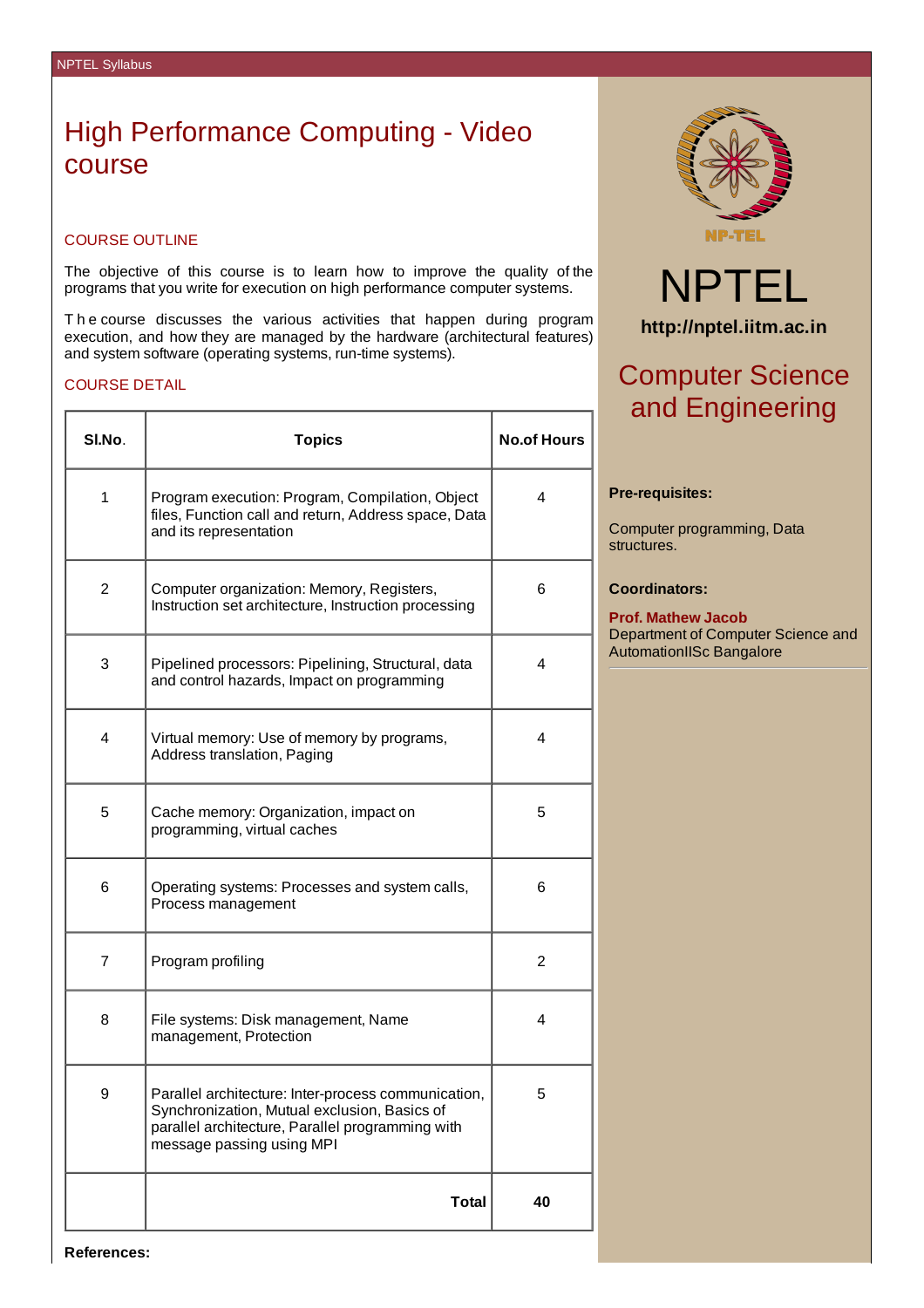## High Performance Computing - Video course

### COURSE OUTLINE

The objective of this course is to learn how to improve the quality of the programs that you write for execution on high performance computer systems.

T h e course discusses the various activities that happen during program execution, and how they are managed by the hardware (architectural features) and system software (operating systems, run-time systems).

### COURSE DETAIL

| SI.No.       | <b>Topics</b>                                                                                                                                                                        | <b>No.of Hours</b> |
|--------------|--------------------------------------------------------------------------------------------------------------------------------------------------------------------------------------|--------------------|
| $\mathbf{1}$ | Program execution: Program, Compilation, Object<br>files, Function call and return, Address space, Data<br>and its representation                                                    | 4                  |
| 2            | Computer organization: Memory, Registers,<br>Instruction set architecture, Instruction processing                                                                                    | 6                  |
| 3            | Pipelined processors: Pipelining, Structural, data<br>and control hazards, Impact on programming                                                                                     | 4                  |
| 4            | Virtual memory: Use of memory by programs,<br>Address translation, Paging                                                                                                            | 4                  |
| 5            | Cache memory: Organization, impact on<br>programming, virtual caches                                                                                                                 | 5                  |
| 6            | Operating systems: Processes and system calls,<br>Process management                                                                                                                 | 6                  |
| 7            | Program profiling                                                                                                                                                                    | $\overline{2}$     |
| 8            | File systems: Disk management, Name<br>management, Protection                                                                                                                        | 4                  |
| 9            | Parallel architecture: Inter-process communication,<br>Synchronization, Mutual exclusion, Basics of<br>parallel architecture, Parallel programming with<br>message passing using MPI | 5                  |
|              | <b>Total</b>                                                                                                                                                                         | 40                 |



# NPTEL **http://nptel.iitm.ac.in**

## Computer Science and Engineering

#### **Pre-requisites:**

Computer programming, Data structures.

### **Coordinators:**

**Prof. Mathew Jacob** Department of Computer Science and AutomationIISc Bangalore